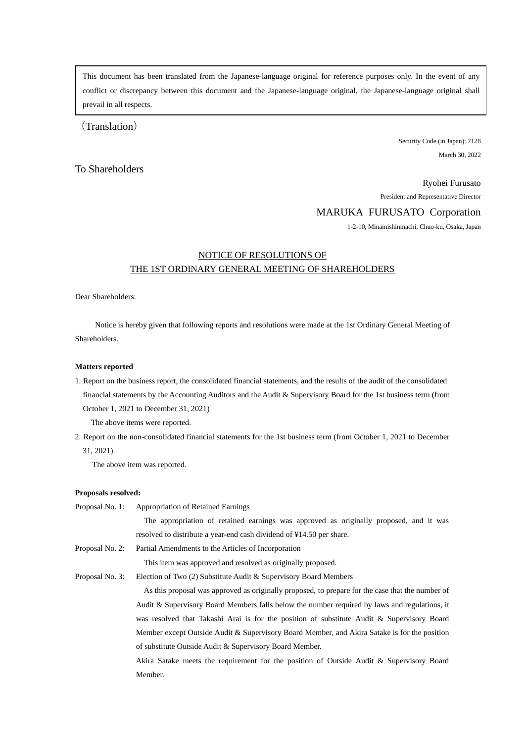This document has been translated from the Japanese-language original for reference purposes only. In the event of any conflict or discrepancy between this document and the Japanese-language original, the Japanese-language original shall prevail in all respects.

(Translation)

Security Code (in Japan): 7128 March 30, 2022

## To Shareholders

Ryohei Furusato

President and Representative Director

### MARUKA FURUSATO Corporation

1-2-10, Minamishinmachi, Chuo-ku, Osaka, Japan

# NOTICE OF RESOLUTIONS OF THE 1ST ORDINARY GENERAL MEETING OF SHAREHOLDERS

Dear Shareholders:

 Notice is hereby given that following reports and resolutions were made at the 1st Ordinary General Meeting of Shareholders.

### **Matters reported**

1. Report on the business report, the consolidated financial statements, and the results of the audit of the consolidated financial statements by the Accounting Auditors and the Audit & Supervisory Board for the 1st business term (from October 1, 2021 to December 31, 2021)

The above items were reported.

2. Report on the non-consolidated financial statements for the 1st business term (from October 1, 2021 to December 31, 2021)

The above item was reported.

#### **Proposals resolved:**

| Proposal No. 1: | <b>Appropriation of Retained Earnings</b>                                                        |
|-----------------|--------------------------------------------------------------------------------------------------|
|                 | The appropriation of retained earnings was approved as originally proposed, and it was           |
|                 | resolved to distribute a year-end cash dividend of ¥14.50 per share.                             |
| Proposal No. 2: | Partial Amendments to the Articles of Incorporation                                              |
|                 | This item was approved and resolved as originally proposed.                                      |
| Proposal No. 3: | Election of Two (2) Substitute Audit & Supervisory Board Members                                 |
|                 | As this proposal was approved as originally proposed, to prepare for the case that the number of |
|                 | Audit & Supervisory Board Members falls below the number required by laws and regulations, it    |
|                 | was resolved that Takashi Arai is for the position of substitute Audit & Supervisory Board       |
|                 | Member except Outside Audit & Supervisory Board Member, and Akira Satake is for the position     |
|                 | of substitute Outside Audit & Supervisory Board Member.                                          |
|                 | Akira Satake meets the requirement for the position of Outside Audit & Supervisory Board         |
|                 | Member.                                                                                          |
|                 |                                                                                                  |